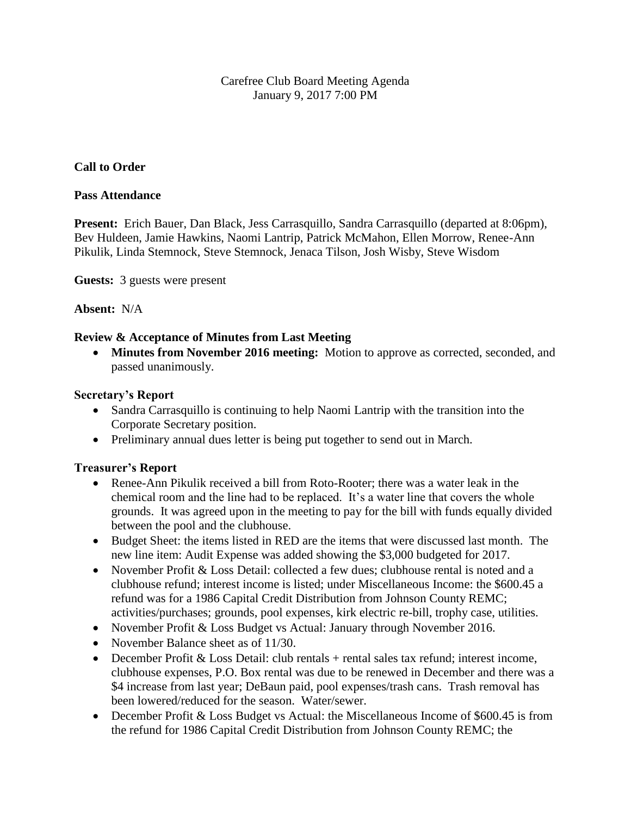## Carefree Club Board Meeting Agenda January 9, 2017 7:00 PM

## **Call to Order**

#### **Pass Attendance**

Present: Erich Bauer, Dan Black, Jess Carrasquillo, Sandra Carrasquillo (departed at 8:06pm), Bev Huldeen, Jamie Hawkins, Naomi Lantrip, Patrick McMahon, Ellen Morrow, Renee-Ann Pikulik, Linda Stemnock, Steve Stemnock, Jenaca Tilson, Josh Wisby, Steve Wisdom

**Guests:** 3 guests were present

#### **Absent:** N/A

#### **Review & Acceptance of Minutes from Last Meeting**

 **Minutes from November 2016 meeting:** Motion to approve as corrected, seconded, and passed unanimously.

#### **Secretary's Report**

- Sandra Carrasquillo is continuing to help Naomi Lantrip with the transition into the Corporate Secretary position.
- Preliminary annual dues letter is being put together to send out in March.

#### **Treasurer's Report**

- Renee-Ann Pikulik received a bill from Roto-Rooter; there was a water leak in the chemical room and the line had to be replaced. It's a water line that covers the whole grounds. It was agreed upon in the meeting to pay for the bill with funds equally divided between the pool and the clubhouse.
- Budget Sheet: the items listed in RED are the items that were discussed last month. The new line item: Audit Expense was added showing the \$3,000 budgeted for 2017.
- November Profit & Loss Detail: collected a few dues; clubhouse rental is noted and a clubhouse refund; interest income is listed; under Miscellaneous Income: the \$600.45 a refund was for a 1986 Capital Credit Distribution from Johnson County REMC; activities/purchases; grounds, pool expenses, kirk electric re-bill, trophy case, utilities.
- November Profit & Loss Budget vs Actual: January through November 2016.
- November Balance sheet as of 11/30.
- December Profit  $& Loss$  Detail: club rentals + rental sales tax refund; interest income, clubhouse expenses, P.O. Box rental was due to be renewed in December and there was a \$4 increase from last year; DeBaun paid, pool expenses/trash cans. Trash removal has been lowered/reduced for the season. Water/sewer.
- December Profit & Loss Budget vs Actual: the Miscellaneous Income of \$600.45 is from the refund for 1986 Capital Credit Distribution from Johnson County REMC; the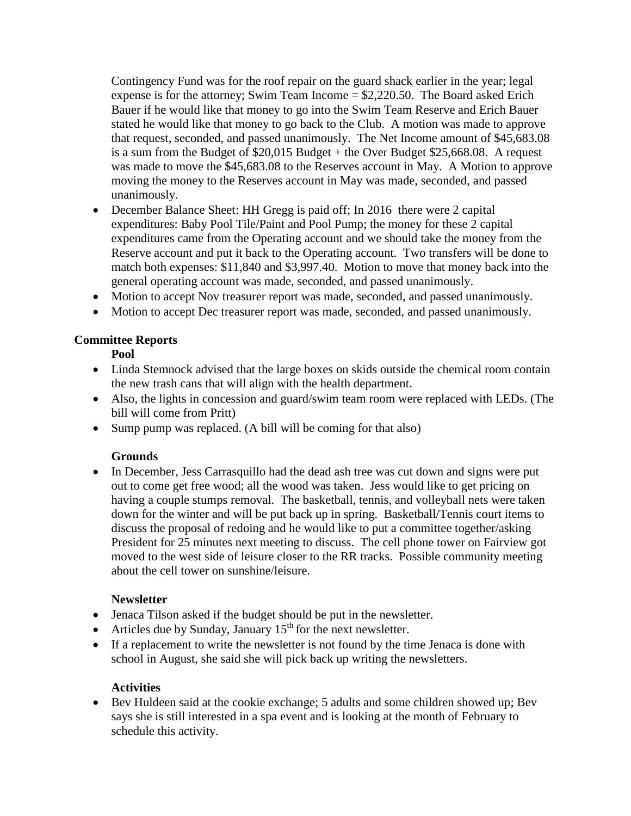Contingency Fund was for the roof repair on the guard shack earlier in the year; legal expense is for the attorney; Swim Team Income  $= $2,220.50$ . The Board asked Erich Bauer if he would like that money to go into the Swim Team Reserve and Erich Bauer stated he would like that money to go back to the Club. A motion was made to approve that request, seconded, and passed unanimously. The Net Income amount of \$45,683.08 is a sum from the Budget of  $$20,015$  Budget + the Over Budget  $$25,668.08$ . A request was made to move the \$45,683.08 to the Reserves account in May. A Motion to approve moving the money to the Reserves account in May was made, seconded, and passed unanimously.

- December Balance Sheet: HH Gregg is paid off; In 2016 there were 2 capital expenditures: Baby Pool Tile/Paint and Pool Pump; the money for these 2 capital expenditures came from the Operating account and we should take the money from the Reserve account and put it back to the Operating account. Two transfers will be done to match both expenses: \$11,840 and \$3,997.40. Motion to move that money back into the general operating account was made, seconded, and passed unanimously.
- Motion to accept Nov treasurer report was made, seconded, and passed unanimously.
- Motion to accept Dec treasurer report was made, seconded, and passed unanimously.

# **Committee Reports**

**Pool**

- Linda Stemnock advised that the large boxes on skids outside the chemical room contain the new trash cans that will align with the health department.
- Also, the lights in concession and guard/swim team room were replaced with LEDs. (The bill will come from Pritt)
- Sump pump was replaced. (A bill will be coming for that also)

# **Grounds**

• In December, Jess Carrasquillo had the dead ash tree was cut down and signs were put out to come get free wood; all the wood was taken. Jess would like to get pricing on having a couple stumps removal. The basketball, tennis, and volleyball nets were taken down for the winter and will be put back up in spring. Basketball/Tennis court items to discuss the proposal of redoing and he would like to put a committee together/asking President for 25 minutes next meeting to discuss. The cell phone tower on Fairview got moved to the west side of leisure closer to the RR tracks. Possible community meeting about the cell tower on sunshine/leisure.

## **Newsletter**

- Jenaca Tilson asked if the budget should be put in the newsletter.
- Articles due by Sunday, January  $15<sup>th</sup>$  for the next newsletter.
- If a replacement to write the newsletter is not found by the time Jenaca is done with school in August, she said she will pick back up writing the newsletters.

# **Activities**

 Bev Huldeen said at the cookie exchange; 5 adults and some children showed up; Bev says she is still interested in a spa event and is looking at the month of February to schedule this activity.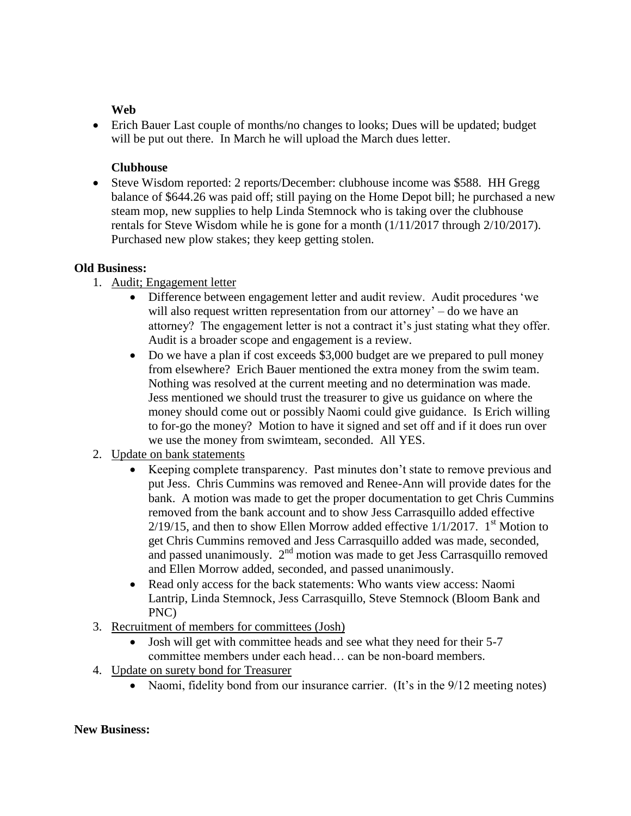## **Web**

 Erich Bauer Last couple of months/no changes to looks; Dues will be updated; budget will be put out there. In March he will upload the March dues letter.

## **Clubhouse**

• Steve Wisdom reported: 2 reports/December: clubhouse income was \$588. HH Gregg balance of \$644.26 was paid off; still paying on the Home Depot bill; he purchased a new steam mop, new supplies to help Linda Stemnock who is taking over the clubhouse rentals for Steve Wisdom while he is gone for a month (1/11/2017 through 2/10/2017). Purchased new plow stakes; they keep getting stolen.

### **Old Business:**

- 1. Audit; Engagement letter
	- Difference between engagement letter and audit review. Audit procedures 'we will also request written representation from our attorney' – do we have an attorney? The engagement letter is not a contract it's just stating what they offer. Audit is a broader scope and engagement is a review.
	- Do we have a plan if cost exceeds \$3,000 budget are we prepared to pull money from elsewhere? Erich Bauer mentioned the extra money from the swim team. Nothing was resolved at the current meeting and no determination was made. Jess mentioned we should trust the treasurer to give us guidance on where the money should come out or possibly Naomi could give guidance. Is Erich willing to for-go the money? Motion to have it signed and set off and if it does run over we use the money from swimteam, seconded. All YES.
- 2. Update on bank statements
	- Keeping complete transparency. Past minutes don't state to remove previous and put Jess. Chris Cummins was removed and Renee-Ann will provide dates for the bank. A motion was made to get the proper documentation to get Chris Cummins removed from the bank account and to show Jess Carrasquillo added effective  $2/19/15$ , and then to show Ellen Morrow added effective  $1/1/2017$ . 1<sup>st</sup> Motion to get Chris Cummins removed and Jess Carrasquillo added was made, seconded, and passed unanimously.  $2<sup>nd</sup>$  motion was made to get Jess Carrasquillo removed and Ellen Morrow added, seconded, and passed unanimously.
	- Read only access for the back statements: Who wants view access: Naomi Lantrip, Linda Stemnock, Jess Carrasquillo, Steve Stemnock (Bloom Bank and PNC)
- 3. Recruitment of members for committees (Josh)
	- Josh will get with committee heads and see what they need for their 5-7 committee members under each head… can be non-board members.
- 4. Update on surety bond for Treasurer
	- Naomi, fidelity bond from our insurance carrier. (It's in the 9/12 meeting notes)

#### **New Business:**